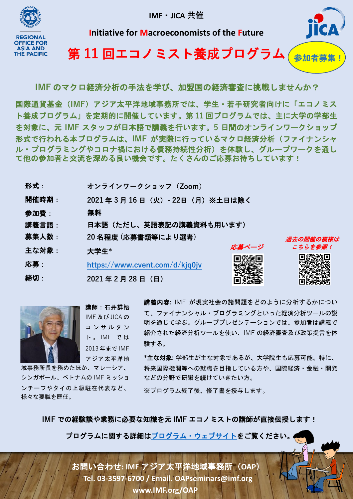**IMF**・**JICA 共催**



**Initiative for Macroeconomists of the Future**



第 **11** 回エコノミスト養成プログラム 参加者募集!

**IMF** のマクロ経済分析の手法を学び、加盟国の経済審査に挑戦しませんか?

国際通貨基金(**IMF**)アジア太平洋地域事務所では、学生・若手研究者向けに「エコノミス ト養成プログラム」を定期的に開催しています。第 **11** 回プログラムでは、主に大学の学部生 を対象に、元 **IMF** スタッフが日本語で講義を行います。**5** 日間のオンラインワークショップ 形式で行われる本プログラムは、**IMF** が実際に行っているマクロ経済分析(ファイナンシャ ル・プログラミングやコロナ禍における債務持続性分析)を体験し、グループワークを通し て他の参加者と交流を深める良い機会です。たくさんのご応募お待ちしています!

| 形式:   | オンラインワークショップ (Zoom)             |       |           |
|-------|---------------------------------|-------|-----------|
| 開催時期: | 2021年3月16日 (火) - 22日 (月) ※土日は除く |       |           |
| 参加費:  | 無料                              |       |           |
| 講義言語: | 日本語(ただし、英語表記の講義資料も用います)         |       |           |
| 募集人数: | 20名程度 (応募書類等により選考)              |       | 過去の開催の模様は |
| 主な対象: | 大学生*                            | 応募ページ | こちらを参照!   |
| 応募:   | https://www.cvent.com/d/kjq0jv  |       |           |
| 締切:   | 2021年2月28日 (日)                  |       |           |



講師:石井詳悟 IMF 及び JICA の コンサルタン ト 。 IMF で は 2013 年まで IMF アジア太平洋地 講義内容**:** IMF が現実社会の諸問題をどのように分析するかについ て、ファイナンシャル・プログラミングといった経済分析ツールの説 明を通じて学ぶ。グループプレゼンテーションでは、参加者は講義で 紹介された経済分析ツールを使い、IMF の経済審査及び政策提言を体 験する。

域事務所長を務めたほか、マレーシア、 シンガポール、ベトナムの IMF ミッショ ンチーフやタイの上級駐在代表など、 様々な要職を歴任。

**\***主な対象**:** 学部生が主な対象であるが、大学院生も応募可能。特に、 将来国際機関等への就職を目指している方や、国際経済・金融・開発 などの分野で研鑽を続けていきたい方。

※プログラム終了後、修了書を授与します。

**IMF** での経験談や業務に必要な知識を元 **IMF** エコノミストの講師が直接伝授します!

プログラムに関する詳細[はプログラム・ウェブサイトを](https://www.imf.org/ja/Countries/ResRep/OAP-Home/macroeconomist-training-program)ご覧ください。

お問い合わせ**: IMF** アジア太平洋地域事務所(**OAP**) **Tel. 03-3597-6700 / Email. OAPseminars@imf.org www.IMF.org/OAP**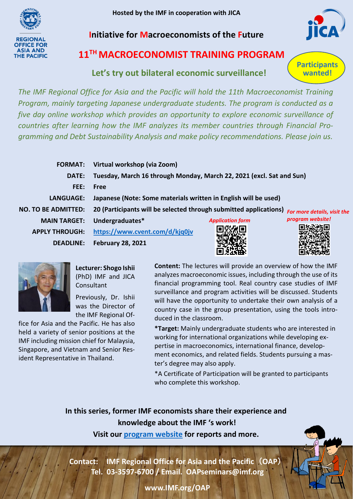**Hosted by the IMF in cooperation with JICA**



**Initiative for Macroeconomists of the Future**



**Participants wanted!**

## **11TH MACROECONOMIST TRAINING PROGRAM**

## **Let's try out bilateral economic surveillance!**

*The IMF Regional Office for Asia and the Pacific will hold the 11th Macroeconomist Training Program, mainly targeting Japanese undergraduate students. The program is conducted as a five day online workshop which provides an opportunity to explore economic surveillance of countries after learning how the IMF analyzes its member countries through Financial Programming and Debt Sustainability Analysis and make policy recommendations. Please join us.*

|                            | FORMAT: Virtual workshop (via Zoom)                                  |                         |                             |
|----------------------------|----------------------------------------------------------------------|-------------------------|-----------------------------|
| DATE:                      | Tuesday, March 16 through Monday, March 22, 2021 (excl. Sat and Sun) |                         |                             |
| FEE:                       | Free                                                                 |                         |                             |
| LANGUAGE:                  | Japanese (Note: Some materials written in English will be used)      |                         |                             |
| <b>NO. TO BE ADMITTED:</b> | 20 (Participants will be selected through submitted applications)    |                         | For more details, visit the |
| <b>MAIN TARGET:</b>        | Undergraduates*                                                      | <b>Application form</b> | program website!            |
| <b>APPLY THROUGH:</b>      | https://www.cvent.com/d/kjq0jv                                       |                         |                             |
| <b>DEADLINE:</b>           | <b>February 28, 2021</b>                                             |                         |                             |



**Lecturer: Shogo Ishii** (PhD) IMF and JICA **Consultant** 

Previously, Dr. Ishii was the Director of the IMF Regional Of-

fice for Asia and the Pacific. He has also held a variety of senior positions at the IMF including mission chief for Malaysia, Singapore, and Vietnam and Senior Resident Representative in Thailand.

**Content:** The lectures will provide an overview of how the IMF analyzes macroeconomic issues, including through the use of its financial programming tool. Real country case studies of IMF surveillance and program activities will be discussed. Students will have the opportunity to undertake their own analysis of a country case in the group presentation, using the tools introduced in the classroom.

**\*Target:** Mainly undergraduate students who are interested in working for international organizations while developing expertise in macroeconomics, international finance, development economics, and related fields. Students pursuing a master's degree may also apply.

\*A Certificate of Participation will be granted to participants who complete this workshop.

**In this series, former IMF economists share their experience and knowledge about the IMF 's work!** 

**Visit our [program](https://www.imf.org/en/Countries/ResRep/OAP-Home/macroeconomist-training-program) website for reports and more.**

**Contact: IMF Regional Office for Asia and the Pacific**(**OAP**) **Tel. 03-3597-6700 / Email. OAPseminars@imf.org**



**www.IMF.org/OAP**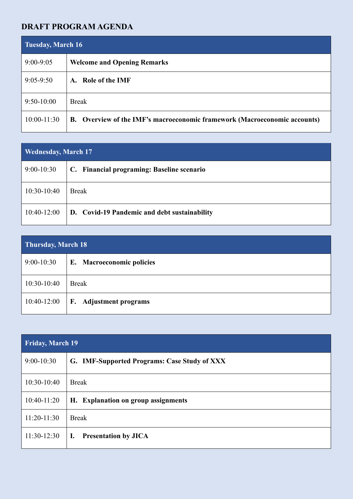## **DRAFT PROGRAM AGENDA**

| <b>Tuesday, March 16</b> |                                                                           |
|--------------------------|---------------------------------------------------------------------------|
| $9:00 - 9:05$            | <b>Welcome and Opening Remarks</b>                                        |
| $9:05 - 9:50$            | Role of the IMF<br>$\mathbf{A}$ .                                         |
| $9:50-10:00$             | <b>Break</b>                                                              |
| $10:00-11:30$            | B. Overview of the IMF's macroeconomic framework (Macroeconomic accounts) |

| <b>Wednesday, March 17</b> |                                              |
|----------------------------|----------------------------------------------|
| $9:00-10:30$               | C. Financial programing: Baseline scenario   |
| $10:30-10:40$              | <b>Break</b>                                 |
| $10:40-12:00$              | D. Covid-19 Pandemic and debt sustainability |

| Thursday, March 18 |                           |
|--------------------|---------------------------|
| $9:00-10:30$       | E. Macroeconomic policies |
| 10:30-10:40        | <b>Break</b>              |
| $10:40-12:00$      | F. Adjustment programs    |

| <b>Friday, March 19</b> |                                               |
|-------------------------|-----------------------------------------------|
| $9:00-10:30$            | G. IMF-Supported Programs: Case Study of XXX  |
| 10:30-10:40             | <b>Break</b>                                  |
| $10:40-11:20$           | H. Explanation on group assignments           |
| $11:20-11:30$           | <b>Break</b>                                  |
| $11:30-12:30$           | <b>Presentation by JICA</b><br>$\mathbf{I}$ . |